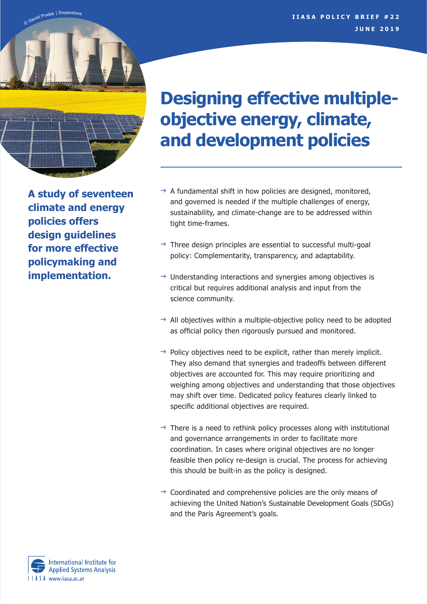

**A study of seventeen climate and energy policies offers design guidelines for more effective policymaking and implementation.** 

# **Designing effective multipleobjective energy, climate, and development policies**

- $\rightarrow$  A fundamental shift in how policies are designed, monitored, and governed is needed if the multiple challenges of energy, sustainability, and climate-change are to be addressed within tight time-frames.
- $\rightarrow$  Three design principles are essential to successful multi-goal policy: Complementarity, transparency, and adaptability.
- $\rightarrow$  Understanding interactions and synergies among objectives is critical but requires additional analysis and input from the science community.
- $\rightarrow$  All objectives within a multiple-objective policy need to be adopted as official policy then rigorously pursued and monitored.
- $\rightarrow$  Policy objectives need to be explicit, rather than merely implicit. They also demand that synergies and tradeoffs between different objectives are accounted for. This may require prioritizing and weighing among objectives and understanding that those objectives may shift over time. Dedicated policy features clearly linked to specific additional objectives are required.
- $\rightarrow$  There is a need to rethink policy processes along with institutional and governance arrangements in order to facilitate more coordination. In cases where original objectives are no longer feasible then policy re-design is crucial. The process for achieving this should be built-in as the policy is designed.
- $\rightarrow$  Coordinated and comprehensive policies are the only means of achieving the United Nation's Sustainable Development Goals (SDGs) and the Paris Agreement's goals.

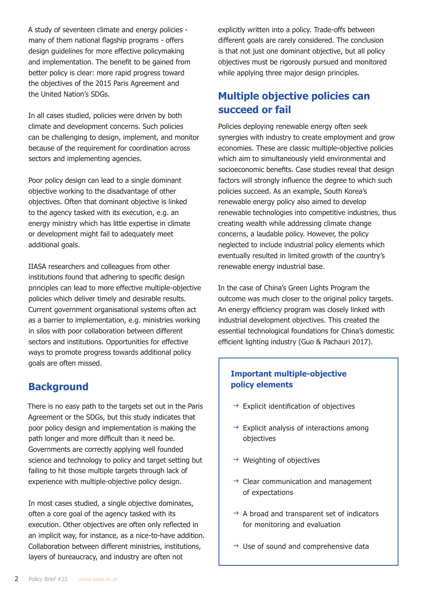A study of seventeen climate and energy policies many of them national flagship programs - offers design guidelines for more effective policymaking and implementation. The benefit to be gained from better policy is clear: more rapid progress toward the objectives of the 2015 Paris Agreement and the United Nation's SDGs.

In all cases studied, policies were driven by both climate and development concerns. Such policies can be challenging to design, implement, and monitor because of the requirement for coordination across sectors and implementing agencies.

Poor policy design can lead to a single dominant objective working to the disadvantage of other objectives. Often that dominant objective is linked to the agency tasked with its execution, e.g. an energy ministry which has little expertise in climate or development might fail to adequately meet additional goals.

IIASA researchers and colleagues from other institutions found that adhering to specific design principles can lead to more effective multiple-objective policies which deliver timely and desirable results. Current government organisational systems often act as a barrier to implementation, e.g. ministries working in silos with poor collaboration between different sectors and institutions. Opportunities for effective ways to promote progress towards additional policy goals are often missed.

## **Background**

There is no easy path to the targets set out in the Paris Agreement or the SDGs, but this study indicates that poor policy design and implementation is making the path longer and more difficult than it need be. Governments are correctly applying well founded science and technology to policy and target setting but failing to hit those multiple targets through lack of experience with multiple-objective policy design.

In most cases studied, a single objective dominates, often a core goal of the agency tasked with its execution. Other objectives are often only reflected in an implicit way, for instance, as a nice-to-have addition. Collaboration between different ministries, institutions, layers of bureaucracy, and industry are often not

explicitly written into a policy. Trade-offs between different goals are rarely considered. The conclusion is that not just one dominant objective, but all policy objectives must be rigorously pursued and monitored while applying three major design principles.

# **Multiple objective policies can succeed or fail**

Policies deploying renewable energy often seek synergies with industry to create employment and grow economies. These are classic multiple-objective policies which aim to simultaneously yield environmental and socioeconomic benefits. Case studies reveal that design factors will strongly influence the degree to which such policies succeed. As an example, South Korea's renewable energy policy also aimed to develop renewable technologies into competitive industries, thus creating wealth while addressing climate change concerns, a laudable policy. However, the policy neglected to include industrial policy elements which eventually resulted in limited growth of the country's renewable energy industrial base.

In the case of China's Green Lights Program the outcome was much closer to the original policy targets. An energy efficiency program was closely linked with industrial development objectives. This created the essential technological foundations for China's domestic efficient lighting industry (Guo & Pachauri 2017).

### **Important multiple-objective policy elements**

- $\rightarrow$  Explicit identification of objectives
- $\rightarrow$  Explicit analysis of interactions among objectives
- $\rightarrow$  Weighting of objectives
- $\rightarrow$  Clear communication and management of expectations
- $\rightarrow$  A broad and transparent set of indicators for monitoring and evaluation
- $\rightarrow$  Use of sound and comprehensive data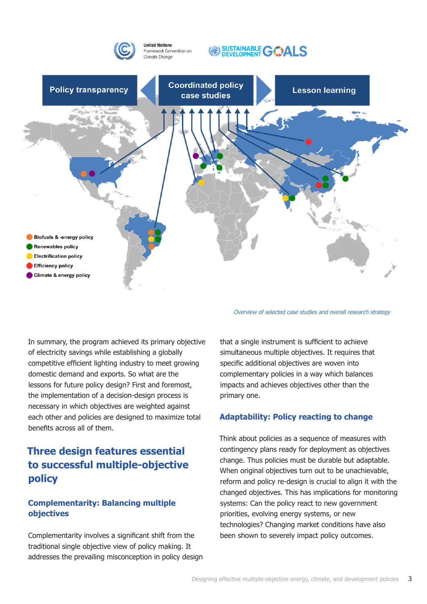

*Overview of selected case studies and overall research strategy*

In summary, the program achieved its primary objective of electricity savings while establishing a globally competitive efficient lighting industry to meet growing domestic demand and exports. So what are the lessons for future policy design? First and foremost, the implementation of a decision-design process is necessary in which objectives are weighted against each other and policies are designed to maximize total benefits across all of them.

# **Three design features essential to successful multiple-objective policy**

#### **Complementarity: Balancing multiple objectives**

Complementarity involves a significant shift from the traditional single objective view of policy making. It addresses the prevailing misconception in policy design

that a single instrument is sufficient to achieve simultaneous multiple objectives. It requires that specific additional objectives are woven into complementary policies in a way which balances impacts and achieves objectives other than the primary one.

#### **Adaptability: Policy reacting to change**

Think about policies as a sequence of measures with contingency plans ready for deployment as objectives change. Thus policies must be durable but adaptable. When original objectives turn out to be unachievable, reform and policy re-design is crucial to align it with the changed objectives. This has implications for monitoring systems: Can the policy react to new government priorities, evolving energy systems, or new technologies? Changing market conditions have also been shown to severely impact policy outcomes.